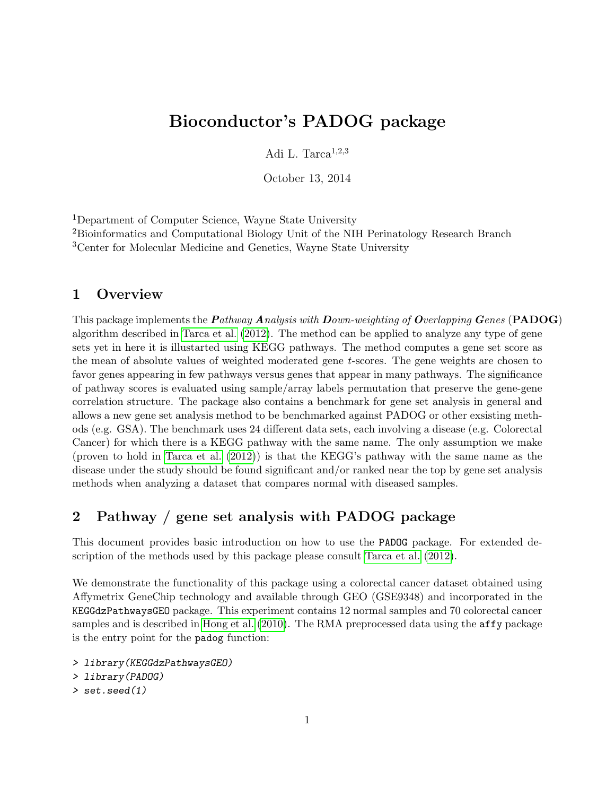# Bioconductor's PADOG package

Adi L. Tarca $^{1,2,3}$ 

October 13, 2014

<sup>1</sup>Department of Computer Science, Wayne State University

<sup>2</sup>Bioinformatics and Computational Biology Unit of the NIH Perinatology Research Branch <sup>3</sup>Center for Molecular Medicine and Genetics, Wayne State University

#### 1 Overview

This package implements the *Pathway Analysis with Down-weighting of Overlapping Genes* (PADOG) algorithm described in [Tarca et al.](#page-8-0) [\(2012\)](#page-8-0). The method can be applied to analyze any type of gene sets yet in here it is illustarted using KEGG pathways. The method computes a gene set score as the mean of absolute values of weighted moderated gene t-scores. The gene weights are chosen to favor genes appearing in few pathways versus genes that appear in many pathways. The significance of pathway scores is evaluated using sample/array labels permutation that preserve the gene-gene correlation structure. The package also contains a benchmark for gene set analysis in general and allows a new gene set analysis method to be benchmarked against PADOG or other exsisting methods (e.g. GSA). The benchmark uses 24 different data sets, each involving a disease (e.g. Colorectal Cancer) for which there is a KEGG pathway with the same name. The only assumption we make (proven to hold in [Tarca et al.](#page-8-0) [\(2012\)](#page-8-0)) is that the KEGG's pathway with the same name as the disease under the study should be found significant and/or ranked near the top by gene set analysis methods when analyzing a dataset that compares normal with diseased samples.

# 2 Pathway / gene set analysis with PADOG package

This document provides basic introduction on how to use the PADOG package. For extended description of the methods used by this package please consult [Tarca et al.](#page-8-0) [\(2012\)](#page-8-0).

We demonstrate the functionality of this package using a colorectal cancer dataset obtained using Affymetrix GeneChip technology and available through GEO (GSE9348) and incorporated in the KEGGdzPathwaysGEO package. This experiment contains 12 normal samples and 70 colorectal cancer samples and is described in [Hong et al.](#page-7-0) [\(2010\)](#page-7-0). The RMA preprocessed data using the **affy** package is the entry point for the padog function:

```
> library(KEGGdzPathwaysGEO)
> library(PADOG)
> set.seed(1)
```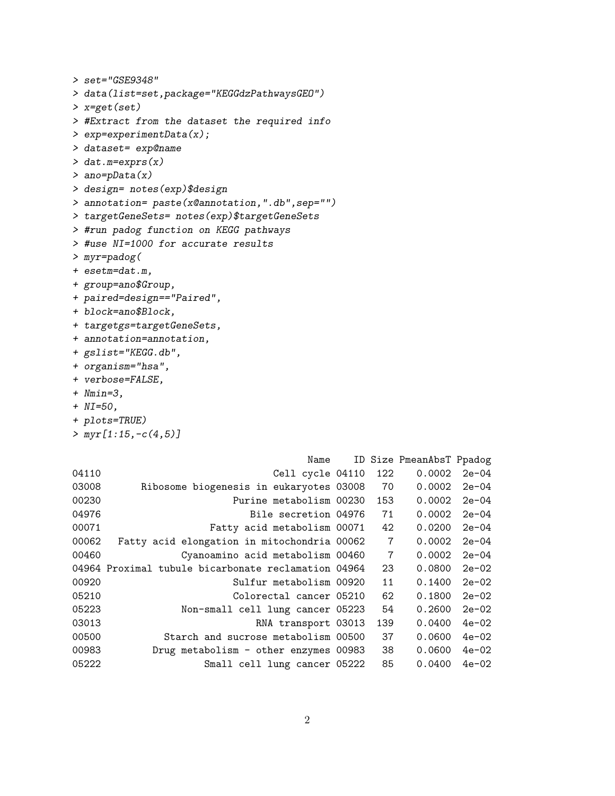```
> set="GSE9348"
> data(list=set,package="KEGGdzPathwaysGEO")
> x=get(set)
> #Extract from the dataset the required info
> exp=experimentData(x);
> dataset= exp@name
> dat.m=exprs(x)
> ano=pData(x)
> design= notes(exp)$design
> annotation= paste(x@annotation,".db",sep="")
> targetGeneSets= notes(exp)$targetGeneSets
> #run padog function on KEGG pathways
> #use NI=1000 for accurate results
> myr=padog(
+ esetm=dat.m,
+ group=ano$Group,
+ paired=design=="Paired",
+ block=ano$Block,
+ targetgs=targetGeneSets,
+ annotation=annotation,
+ gslist="KEGG.db",
+ organism="hsa",
+ verbose=FALSE,
+ Nmin=3,
+ NI=50,
+ plots=TRUE)
> myr[1:15,-c(4,5)]Name ID Size PmeanAbsT Ppadog
04110 Cell cycle 04110 122 0.0002 2e-04
03008 Ribosome biogenesis in eukaryotes 03008 70 0.0002 2e-04
00230 Purine metabolism 00230 153 0.0002 2e-04
04976 Bile secretion 04976 71 0.0002 2e-04
00071 Fatty acid metabolism 00071 42 0.0200 2e-04
00062 Fatty acid elongation in mitochondria 00062 7 0.0002 2e-04
00460 Cyanoamino acid metabolism 00460 7 0.0002 2e-04
04964 Proximal tubule bicarbonate reclamation 04964 23 0.0800 2e-02
00920 Sulfur metabolism 00920 11 0.1400 2e-02
05210 Colorectal cancer 05210 62 0.1800 2e-02
05223 Non-small cell lung cancer 05223 54 0.2600 2e-02
03013 RNA transport 03013 139 0.0400 4e-02
00500 Starch and sucrose metabolism 00500 37 0.0600 4e-02
00983 Drug metabolism - other enzymes 00983 38 0.0600 4e-02
05222 Small cell lung cancer 05222 85 0.0400 4e-02
```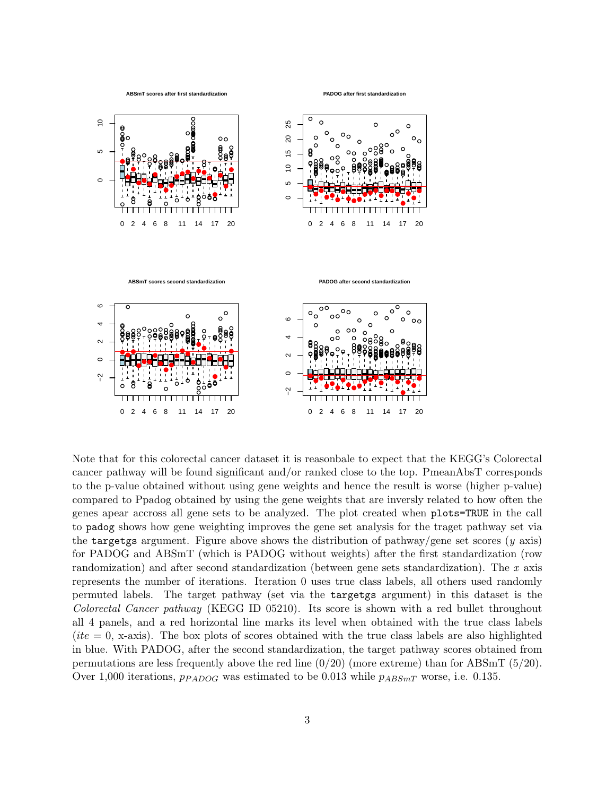

**PADOG after first standardization**



Note that for this colorectal cancer dataset it is reasonbale to expect that the KEGG's Colorectal cancer pathway will be found significant and/or ranked close to the top. PmeanAbsT corresponds to the p-value obtained without using gene weights and hence the result is worse (higher p-value) compared to Ppadog obtained by using the gene weights that are inversly related to how often the genes apear accross all gene sets to be analyzed. The plot created when plots=TRUE in the call to padog shows how gene weighting improves the gene set analysis for the traget pathway set via the targetgs argument. Figure above shows the distribution of pathway/gene set scores ( $y$  axis) for PADOG and ABSmT (which is PADOG without weights) after the first standardization (row randomization) and after second standardization (between gene sets standardization). The  $x$  axis represents the number of iterations. Iteration 0 uses true class labels, all others used randomly permuted labels. The target pathway (set via the targetgs argument) in this dataset is the Colorectal Cancer pathway (KEGG ID 05210). Its score is shown with a red bullet throughout all 4 panels, and a red horizontal line marks its level when obtained with the true class labels  $(ite = 0, x-axis)$ . The box plots of scores obtained with the true class labels are also highlighted in blue. With PADOG, after the second standardization, the target pathway scores obtained from permutations are less frequently above the red line (0/20) (more extreme) than for ABSmT (5/20). Over 1,000 iterations,  $p_{PADOG}$  was estimated to be 0.013 while  $p_{ABSmT}$  worse, i.e. 0.135.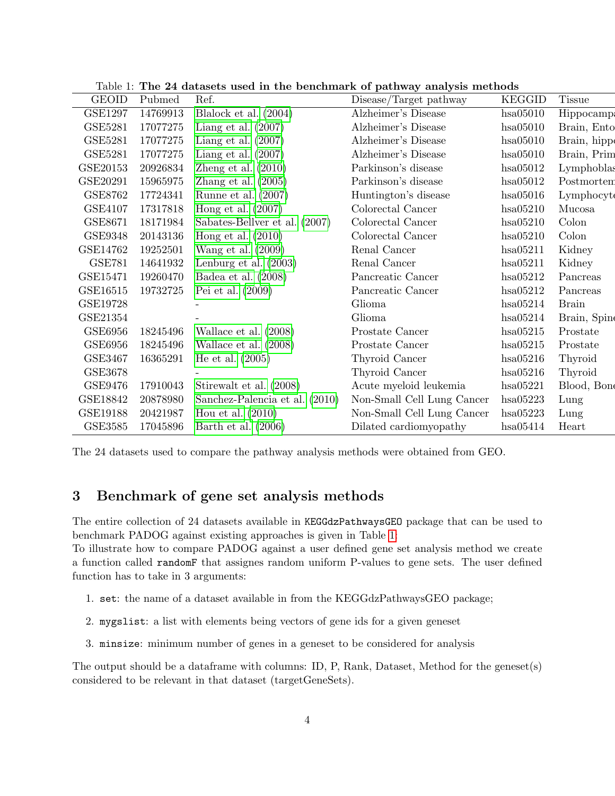| <b>GEOID</b>   | Pubmed   | Ref.                           | Disease/Target pathway     | <b>KEGGID</b> | <b>Tissue</b> |
|----------------|----------|--------------------------------|----------------------------|---------------|---------------|
| <b>GSE1297</b> | 14769913 | Blalock et al. $(2004)$        | Alzheimer's Disease        | hsa05010      | Hippocampa    |
| <b>GSE5281</b> | 17077275 | Liang et al. $(2007)$          | Alzheimer's Disease        | hsa05010      | Brain, Ento   |
| GSE5281        | 17077275 | Liang et al. $(2007)$          | Alzheimer's Disease        | hsa05010      | Brain, hippe  |
| GSE5281        | 17077275 | Liang et al. $(2007)$          | Alzheimer's Disease        | hsa05010      | Brain, Prim   |
| GSE20153       | 20926834 | Zheng et al. $(2010)$          | Parkinson's disease        | hsa05012      | Lymphoblas    |
| GSE20291       | 15965975 | Zhang et al. $(2005)$          | Parkinson's disease        | hsa05012      | Postmorten    |
| GSE8762        | 17724341 | Runne et al. $(2007)$          | Huntington's disease       | hsa05016      | Lymphocyte    |
| <b>GSE4107</b> | 17317818 | Hong et al. $(2007)$           | Colorectal Cancer          | hsa05210      | Mucosa        |
| GSE8671        | 18171984 | Sabates-Bellver et al. (2007)  | Colorectal Cancer          | hsa05210      | Colon         |
| GSE9348        | 20143136 | Hong et al. $(2010)$           | Colorectal Cancer          | hsa05210      | Colon         |
| GSE14762       | 19252501 | Wang et al. $(2009)$           | Renal Cancer               | hsa05211      | Kidney        |
| <b>GSE781</b>  | 14641932 | Lenburg et al. $(2003)$        | Renal Cancer               | hsa05211      | Kidney        |
| GSE15471       | 19260470 | Badea et al. $(2008)$          | Pancreatic Cancer          | hsa05212      | Pancreas      |
| GSE16515       | 19732725 | Pei et al. $(2009)$            | Pancreatic Cancer          | hsa05212      | Pancreas      |
| GSE19728       |          |                                | Glioma                     | hsa05214      | <b>Brain</b>  |
| GSE21354       |          |                                | Glioma                     | hsa05214      | Brain, Spin   |
| GSE6956        | 18245496 | Wallace et al. $(2008)$        | Prostate Cancer            | hsa05215      | Prostate      |
| GSE6956        | 18245496 | Wallace et al. $(2008)$        | Prostate Cancer            | hsa05215      | Prostate      |
| GSE3467        | 16365291 | He et al. $(2005)$             | Thyroid Cancer             | hsa05216      | Thyroid       |
| GSE3678        |          |                                | Thyroid Cancer             | hsa05216      | Thyroid       |
| GSE9476        | 17910043 | Stirewalt et al. (2008)        | Acute myeloid leukemia     | hsa05221      | Blood, Bone   |
| GSE18842       | 20878980 | Sanchez-Palencia et al. (2010) | Non-Small Cell Lung Cancer | hsa05223      | Lung          |
| GSE19188       | 20421987 | Hou et al. $(2010)$            | Non-Small Cell Lung Cancer | hsa05223      | Lung          |
| <b>GSE3585</b> | 17045896 | Barth et al. $(2006)$          | Dilated cardiomyopathy     | hsa05414      | Heart         |

<span id="page-3-0"></span>Table 1: The 24 datasets used in the benchmark of pathway analysis methods

The 24 datasets used to compare the pathway analysis methods were obtained from GEO.

### 3 Benchmark of gene set analysis methods

The entire collection of 24 datasets available in KEGGdzPathwaysGEO package that can be used to benchmark PADOG against existing approaches is given in Table [1:](#page-3-0)

To illustrate how to compare PADOG against a user defined gene set analysis method we create a function called randomF that assignes random uniform P-values to gene sets. The user defined function has to take in 3 arguments:

- 1. set: the name of a dataset available in from the KEGGdzPathwaysGEO package;
- 2. mygslist: a list with elements being vectors of gene ids for a given geneset
- 3. minsize: minimum number of genes in a geneset to be considered for analysis

The output should be a dataframe with columns: ID, P, Rank, Dataset, Method for the geneset(s) considered to be relevant in that dataset (targetGeneSets).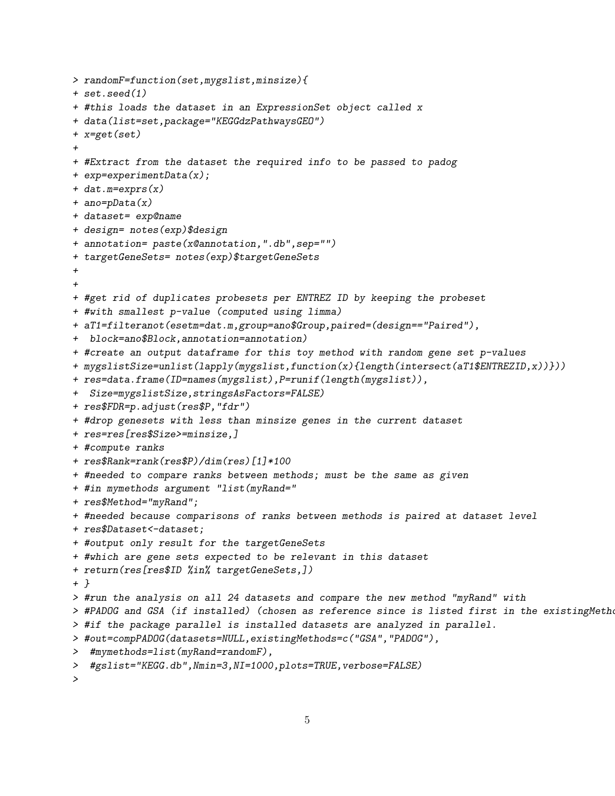```
> randomF=function(set,mygslist,minsize){
+ set.seed(1)
+ #this loads the dataset in an ExpressionSet object called x
+ data(list=set,package="KEGGdzPathwaysGEO")
+ x=get(set)
+
+ #Extract from the dataset the required info to be passed to padog
+ exp=experimentData(x);
+ dat.m=exprs(x)
+ ano=pData(x)
+ dataset= exp@name
+ design= notes(exp)$design
+ annotation= paste(x@annotation,".db",sep="")
+ targetGeneSets= notes(exp)$targetGeneSets
+
+
+ #get rid of duplicates probesets per ENTREZ ID by keeping the probeset
+ #with smallest p-value (computed using limma)
+ aT1=filteranot(esetm=dat.m,group=ano$Group,paired=(design=="Paired"),
+ block=ano$Block,annotation=annotation)
+ #create an output dataframe for this toy method with random gene set p-values
+ mygslistSize=unlist(lapply(mygslist,function(x){length(intersect(aT1$ENTREZID,x))}))
+ res=data.frame(ID=names(mygslist),P=runif(length(mygslist)),
+ Size=mygslistSize,stringsAsFactors=FALSE)
+ res$FDR=p.adjust(res$P,"fdr")
+ #drop genesets with less than minsize genes in the current dataset
+ res=res[res$Size>=minsize,]
+ #compute ranks
+ res$Rank=rank(res$P)/dim(res)[1]*100
+ #needed to compare ranks between methods; must be the same as given
+ #in mymethods argument "list(myRand="
+ res$Method="myRand";
+ #needed because comparisons of ranks between methods is paired at dataset level
+ res$Dataset<-dataset;
+ #output only result for the targetGeneSets
+ #which are gene sets expected to be relevant in this dataset
+ return(res[res$ID %in% targetGeneSets,])
+ }
> #run the analysis on all 24 datasets and compare the new method "myRand" with
> #PADOG and GSA (if installed) (chosen as reference since is listed first in the existingMetho
> #if the package parallel is installed datasets are analyzed in parallel.
> #out=compPADOG(datasets=NULL,existingMethods=c("GSA","PADOG"),
> #mymethods=list(myRand=randomF),
> #gslist="KEGG.db",Nmin=3,NI=1000,plots=TRUE,verbose=FALSE)
```

```
\mathbf{v}
```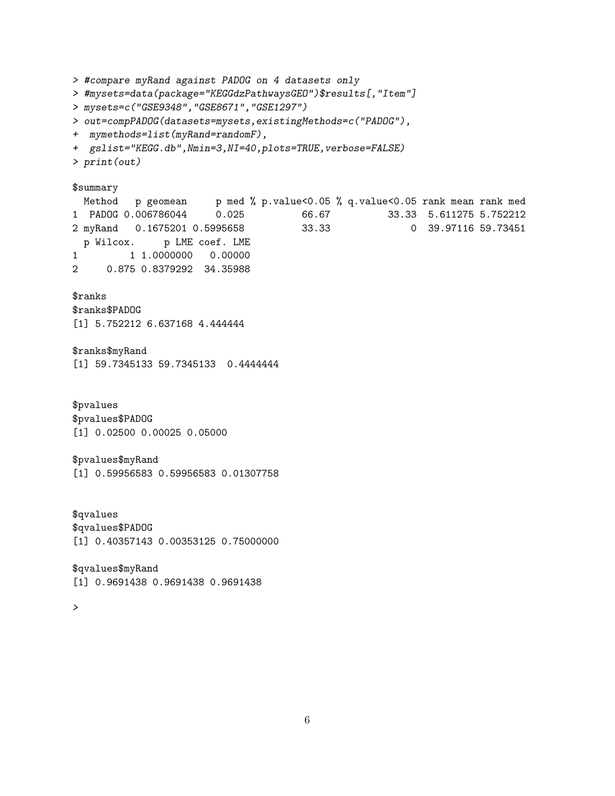```
> #compare myRand against PADOG on 4 datasets only
> #mysets=data(package="KEGGdzPathwaysGEO")$results[,"Item"]
> mysets=c("GSE9348","GSE8671","GSE1297")
> out=compPADOG(datasets=mysets,existingMethods=c("PADOG"),
+ mymethods=list(myRand=randomF),
+ gslist="KEGG.db", Nmin=3, NI=40, plots=TRUE, verbose=FALSE)
> print(out)
$summary
 Method p geomean p med % p.value<0.05 % q.value<0.05 rank mean rank med
1 PADOG 0.006786044 0.025 66.67 33.33 5.611275 5.752212
2 myRand 0.1675201 0.5995658 33.33 0 39.97116 59.73451
 p Wilcox. p LME coef. LME
1 1.0000000 0.00000
2 0.875 0.8379292 34.35988
$ranks
$ranks$PADOG
[1] 5.752212 6.637168 4.444444
$ranks$myRand
[1] 59.7345133 59.7345133 0.4444444
$pvalues
$pvalues$PADOG
[1] 0.02500 0.00025 0.05000
$pvalues$myRand
[1] 0.59956583 0.59956583 0.01307758
$qvalues
$qvalues$PADOG
[1] 0.40357143 0.00353125 0.75000000
$qvalues$myRand
[1] 0.9691438 0.9691438 0.9691438
>
```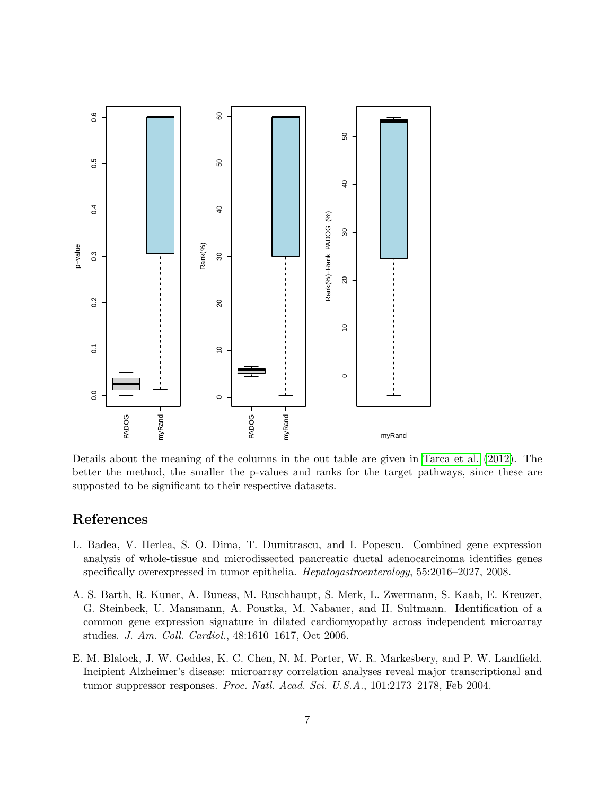

Details about the meaning of the columns in the out table are given in [Tarca et al.](#page-8-0) [\(2012\)](#page-8-0). The better the method, the smaller the p-values and ranks for the target pathways, since these are supposted to be significant to their respective datasets.

## References

- <span id="page-6-1"></span>L. Badea, V. Herlea, S. O. Dima, T. Dumitrascu, and I. Popescu. Combined gene expression analysis of whole-tissue and microdissected pancreatic ductal adenocarcinoma identifies genes specifically overexpressed in tumor epithelia. Hepatogastroenterology, 55:2016–2027, 2008.
- <span id="page-6-2"></span>A. S. Barth, R. Kuner, A. Buness, M. Ruschhaupt, S. Merk, L. Zwermann, S. Kaab, E. Kreuzer, G. Steinbeck, U. Mansmann, A. Poustka, M. Nabauer, and H. Sultmann. Identification of a common gene expression signature in dilated cardiomyopathy across independent microarray studies. J. Am. Coll. Cardiol., 48:1610–1617, Oct 2006.
- <span id="page-6-0"></span>E. M. Blalock, J. W. Geddes, K. C. Chen, N. M. Porter, W. R. Markesbery, and P. W. Landfield. Incipient Alzheimer's disease: microarray correlation analyses reveal major transcriptional and tumor suppressor responses. Proc. Natl. Acad. Sci. U.S.A., 101:2173–2178, Feb 2004.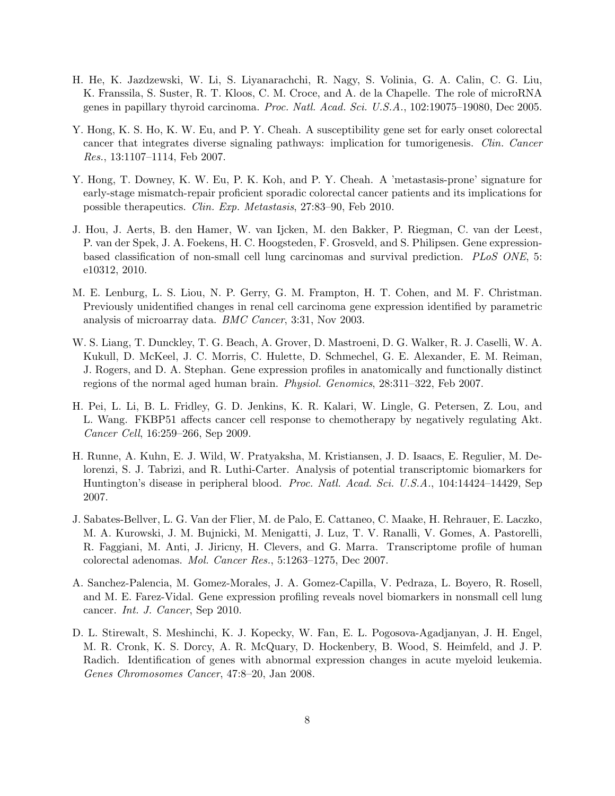- <span id="page-7-7"></span>H. He, K. Jazdzewski, W. Li, S. Liyanarachchi, R. Nagy, S. Volinia, G. A. Calin, C. G. Liu, K. Franssila, S. Suster, R. T. Kloos, C. M. Croce, and A. de la Chapelle. The role of microRNA genes in papillary thyroid carcinoma. Proc. Natl. Acad. Sci. U.S.A., 102:19075–19080, Dec 2005.
- <span id="page-7-3"></span>Y. Hong, K. S. Ho, K. W. Eu, and P. Y. Cheah. A susceptibility gene set for early onset colorectal cancer that integrates diverse signaling pathways: implication for tumorigenesis. Clin. Cancer Res., 13:1107–1114, Feb 2007.
- <span id="page-7-0"></span>Y. Hong, T. Downey, K. W. Eu, P. K. Koh, and P. Y. Cheah. A 'metastasis-prone' signature for early-stage mismatch-repair proficient sporadic colorectal cancer patients and its implications for possible therapeutics. Clin. Exp. Metastasis, 27:83–90, Feb 2010.
- <span id="page-7-10"></span>J. Hou, J. Aerts, B. den Hamer, W. van Ijcken, M. den Bakker, P. Riegman, C. van der Leest, P. van der Spek, J. A. Foekens, H. C. Hoogsteden, F. Grosveld, and S. Philipsen. Gene expressionbased classification of non-small cell lung carcinomas and survival prediction. PLoS ONE, 5: e10312, 2010.
- <span id="page-7-5"></span>M. E. Lenburg, L. S. Liou, N. P. Gerry, G. M. Frampton, H. T. Cohen, and M. F. Christman. Previously unidentified changes in renal cell carcinoma gene expression identified by parametric analysis of microarray data. BMC Cancer, 3:31, Nov 2003.
- <span id="page-7-1"></span>W. S. Liang, T. Dunckley, T. G. Beach, A. Grover, D. Mastroeni, D. G. Walker, R. J. Caselli, W. A. Kukull, D. McKeel, J. C. Morris, C. Hulette, D. Schmechel, G. E. Alexander, E. M. Reiman, J. Rogers, and D. A. Stephan. Gene expression profiles in anatomically and functionally distinct regions of the normal aged human brain. Physiol. Genomics, 28:311–322, Feb 2007.
- <span id="page-7-6"></span>H. Pei, L. Li, B. L. Fridley, G. D. Jenkins, K. R. Kalari, W. Lingle, G. Petersen, Z. Lou, and L. Wang. FKBP51 affects cancer cell response to chemotherapy by negatively regulating Akt. Cancer Cell, 16:259–266, Sep 2009.
- <span id="page-7-2"></span>H. Runne, A. Kuhn, E. J. Wild, W. Pratyaksha, M. Kristiansen, J. D. Isaacs, E. Regulier, M. Delorenzi, S. J. Tabrizi, and R. Luthi-Carter. Analysis of potential transcriptomic biomarkers for Huntington's disease in peripheral blood. Proc. Natl. Acad. Sci. U.S.A., 104:14424-14429, Sep 2007.
- <span id="page-7-4"></span>J. Sabates-Bellver, L. G. Van der Flier, M. de Palo, E. Cattaneo, C. Maake, H. Rehrauer, E. Laczko, M. A. Kurowski, J. M. Bujnicki, M. Menigatti, J. Luz, T. V. Ranalli, V. Gomes, A. Pastorelli, R. Faggiani, M. Anti, J. Jiricny, H. Clevers, and G. Marra. Transcriptome profile of human colorectal adenomas. Mol. Cancer Res., 5:1263–1275, Dec 2007.
- <span id="page-7-9"></span>A. Sanchez-Palencia, M. Gomez-Morales, J. A. Gomez-Capilla, V. Pedraza, L. Boyero, R. Rosell, and M. E. Farez-Vidal. Gene expression profiling reveals novel biomarkers in nonsmall cell lung cancer. Int. J. Cancer, Sep 2010.
- <span id="page-7-8"></span>D. L. Stirewalt, S. Meshinchi, K. J. Kopecky, W. Fan, E. L. Pogosova-Agadjanyan, J. H. Engel, M. R. Cronk, K. S. Dorcy, A. R. McQuary, D. Hockenbery, B. Wood, S. Heimfeld, and J. P. Radich. Identification of genes with abnormal expression changes in acute myeloid leukemia. Genes Chromosomes Cancer, 47:8–20, Jan 2008.